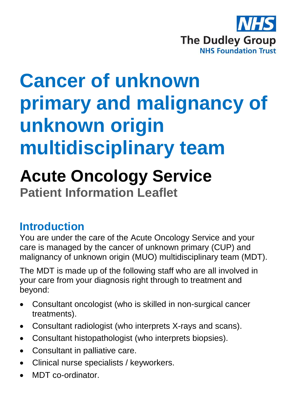

# **Cancer of unknown primary and malignancy of unknown origin multidisciplinary team**

# **Acute Oncology Service**

**Patient Information Leaflet**

# **Introduction**

You are under the care of the Acute Oncology Service and your care is managed by the cancer of unknown primary (CUP) and malignancy of unknown origin (MUO) multidisciplinary team (MDT).

The MDT is made up of the following staff who are all involved in your care from your diagnosis right through to treatment and beyond:

- Consultant oncologist (who is skilled in non-surgical cancer treatments).
- Consultant radiologist (who interprets X-rays and scans).
- Consultant histopathologist (who interprets biopsies).
- Consultant in palliative care.
- Clinical nurse specialists / keyworkers.
- MDT co-ordinator.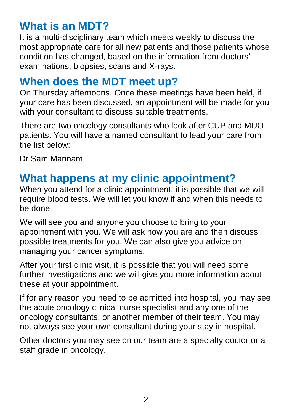# **What is an MDT?**

It is a multi-disciplinary team which meets weekly to discuss the most appropriate care for all new patients and those patients whose condition has changed, based on the information from doctors' examinations, biopsies, scans and X-rays.

#### **When does the MDT meet up?**

On Thursday afternoons. Once these meetings have been held, if your care has been discussed, an appointment will be made for you with your consultant to discuss suitable treatments.

There are two oncology consultants who look after CUP and MUO patients. You will have a named consultant to lead your care from the list below:

Dr Sam Mannam

# **What happens at my clinic appointment?**

When you attend for a clinic appointment, it is possible that we will require blood tests. We will let you know if and when this needs to be done.

We will see you and anyone you choose to bring to your appointment with you. We will ask how you are and then discuss possible treatments for you. We can also give you advice on managing your cancer symptoms.

After your first clinic visit, it is possible that you will need some further investigations and we will give you more information about these at your appointment.

If for any reason you need to be admitted into hospital, you may see the acute oncology clinical nurse specialist and any one of the oncology consultants, or another member of their team. You may not always see your own consultant during your stay in hospital.

Other doctors you may see on our team are a specialty doctor or a staff grade in oncology.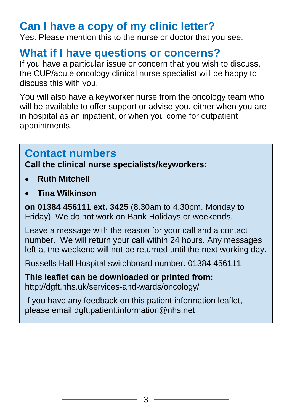### **Can I have a copy of my clinic letter?**

Yes. Please mention this to the nurse or doctor that you see.

#### **What if I have questions or concerns?**

If you have a particular issue or concern that you wish to discuss, the CUP/acute oncology clinical nurse specialist will be happy to discuss this with you.

You will also have a keyworker nurse from the oncology team who will be available to offer support or advise you, either when you are in hospital as an inpatient, or when you come for outpatient appointments.

#### **Contact numbers**

**Call the clinical nurse specialists/keyworkers:**

- **Ruth Mitchell**
- **Tina Wilkinson**

**on 01384 456111 ext. 3425** (8.30am to 4.30pm, Monday to Friday). We do not work on Bank Holidays or weekends.

Leave a message with the reason for your call and a contact number. We will return your call within 24 hours. Any messages left at the weekend will not be returned until the next working day.

Russells Hall Hospital switchboard number: 01384 456111

**This leaflet can be downloaded or printed from:** http://dgft.nhs.uk/services-and-wards/oncology/

If you have any feedback on this patient information leaflet, please email dgft.patient.information@nhs.net